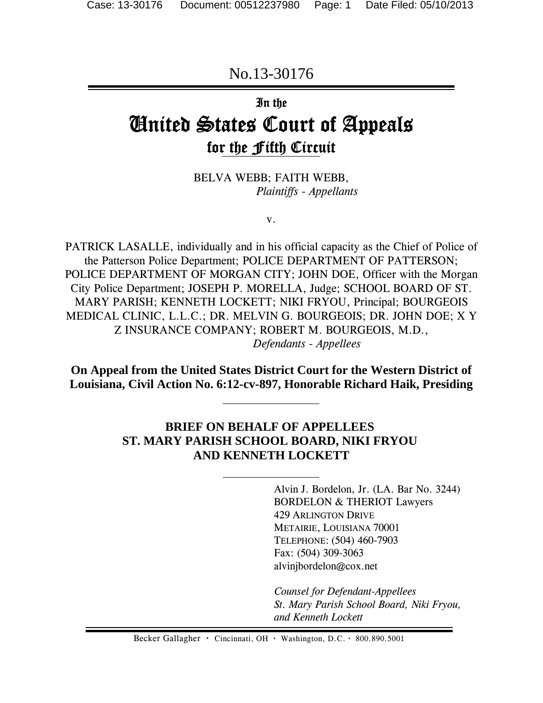No.13-30176

# In the

# United States Court of Appeals for the Fifth Circuit

BELVA WEBB; FAITH WEBB,  *Plaintiffs - Appellants*

v.

PATRICK LASALLE, individually and in his official capacity as the Chief of Police of the Patterson Police Department; POLICE DEPARTMENT OF PATTERSON; POLICE DEPARTMENT OF MORGAN CITY; JOHN DOE, Officer with the Morgan City Police Department; JOSEPH P. MORELLA, Judge; SCHOOL BOARD OF ST. MARY PARISH; KENNETH LOCKETT; NIKI FRYOU, Principal; BOURGEOIS MEDICAL CLINIC, L.L.C.; DR. MELVIN G. BOURGEOIS; DR. JOHN DOE; X Y Z INSURANCE COMPANY; ROBERT M. BOURGEOIS, M.D.,  *Defendants - Appellees*

**On Appeal from the United States District Court for the Western District of Louisiana, Civil Action No. 6:12-cv-897, Honorable Richard Haik, Presiding**

# **BRIEF ON BEHALF OF APPELLEES ST. MARY PARISH SCHOOL BOARD, NIKI FRYOU AND KENNETH LOCKETT**

Alvin J. Bordelon, Jr. (LA. Bar No. 3244) BORDELON & THERIOT Lawyers 429 ARLINGTON DRIVE METAIRIE, LOUISIANA 70001 TELEPHONE: (504) 460-7903 Fax: (504) 309-3063 alvinjbordelon@cox.net

*Counsel for Defendant-Appellees St. Mary Parish School Board, Niki Fryou, and Kenneth Lockett*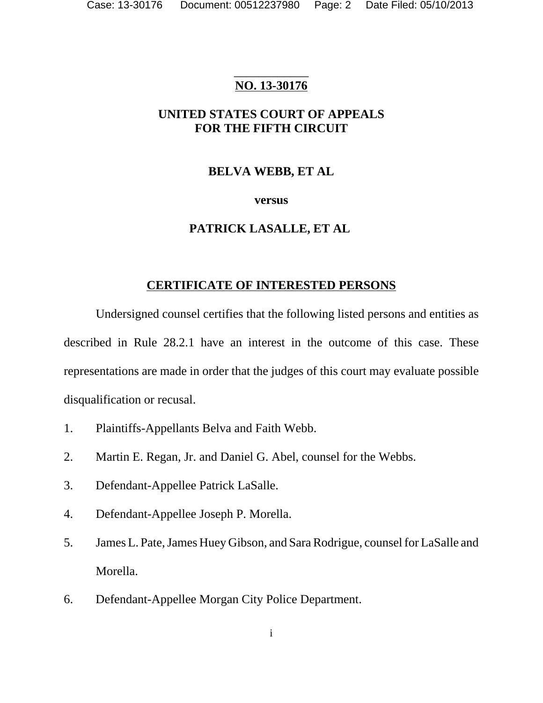# \_\_\_\_\_\_\_\_\_\_\_\_ **NO. 13-30176**

# **UNITED STATES COURT OF APPEALS FOR THE FIFTH CIRCUIT**

# **BELVA WEBB, ET AL**

# **versus**

# **PATRICK LASALLE, ET AL**

# **CERTIFICATE OF INTERESTED PERSONS**

Undersigned counsel certifies that the following listed persons and entities as described in Rule 28.2.1 have an interest in the outcome of this case. These representations are made in order that the judges of this court may evaluate possible disqualification or recusal.

- 1. Plaintiffs-Appellants Belva and Faith Webb.
- 2. Martin E. Regan, Jr. and Daniel G. Abel, counsel for the Webbs.
- 3. Defendant-Appellee Patrick LaSalle.
- 4. Defendant-Appellee Joseph P. Morella.
- 5. James L. Pate, James Huey Gibson, and Sara Rodrigue, counsel for LaSalle and Morella.
- 6. Defendant-Appellee Morgan City Police Department.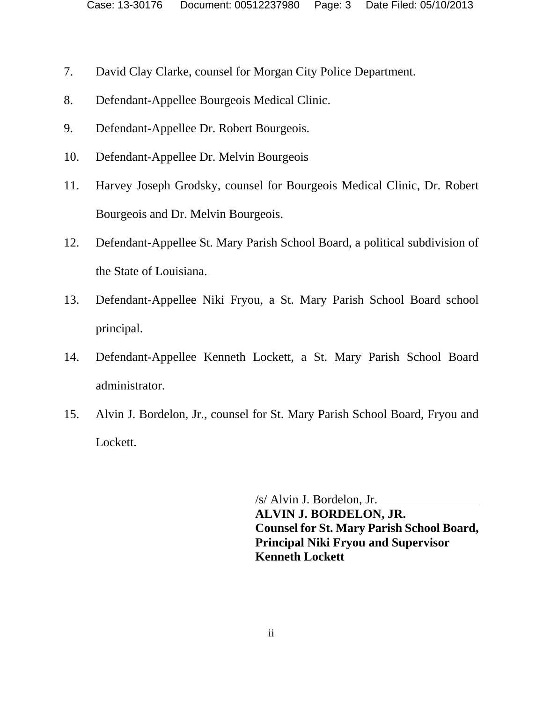- 7. David Clay Clarke, counsel for Morgan City Police Department.
- 8. Defendant-Appellee Bourgeois Medical Clinic.
- 9. Defendant-Appellee Dr. Robert Bourgeois.
- 10. Defendant-Appellee Dr. Melvin Bourgeois
- 11. Harvey Joseph Grodsky, counsel for Bourgeois Medical Clinic, Dr. Robert Bourgeois and Dr. Melvin Bourgeois.
- 12. Defendant-Appellee St. Mary Parish School Board, a political subdivision of the State of Louisiana.
- 13. Defendant-Appellee Niki Fryou, a St. Mary Parish School Board school principal.
- 14. Defendant-Appellee Kenneth Lockett, a St. Mary Parish School Board administrator.
- 15. Alvin J. Bordelon, Jr., counsel for St. Mary Parish School Board, Fryou and Lockett.

/s/ Alvin J. Bordelon, Jr. **ALVIN J. BORDELON, JR. Counsel for St. Mary Parish School Board, Principal Niki Fryou and Supervisor Kenneth Lockett**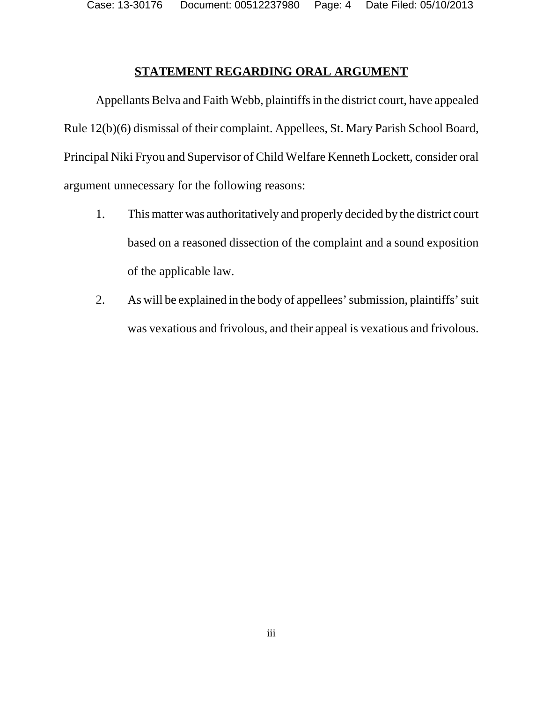Case: 13-30176 Document: 00512237980 Page: 4 Date Filed: 05/10/2013

### **STATEMENT REGARDING ORAL ARGUMENT**

Appellants Belva and Faith Webb, plaintiffs in the district court, have appealed Rule 12(b)(6) dismissal of their complaint. Appellees, St. Mary Parish School Board, Principal Niki Fryou and Supervisor of Child Welfare Kenneth Lockett, consider oral argument unnecessary for the following reasons:

- 1. This matter was authoritatively and properly decided by the district court based on a reasoned dissection of the complaint and a sound exposition of the applicable law.
- 2. As will be explained in the body of appellees' submission, plaintiffs' suit was vexatious and frivolous, and their appeal is vexatious and frivolous.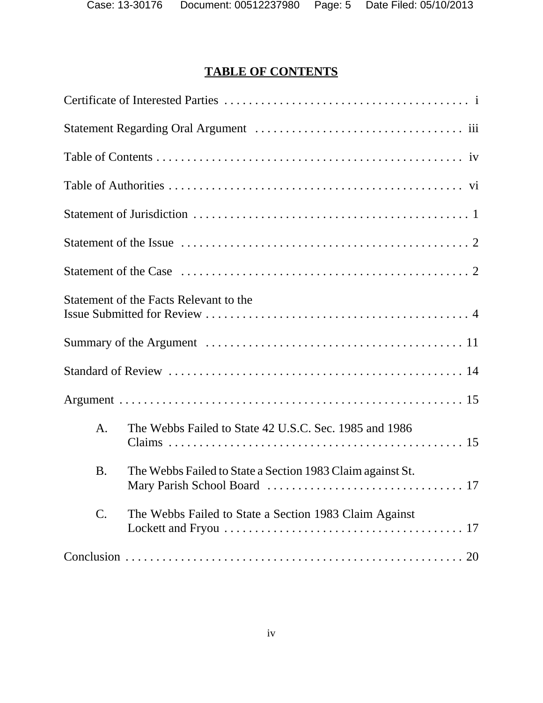# **TABLE OF CONTENTS**

|                 | Statement of the Facts Relevant to the                     |
|-----------------|------------------------------------------------------------|
|                 |                                                            |
|                 |                                                            |
|                 |                                                            |
| A.              | The Webbs Failed to State 42 U.S.C. Sec. 1985 and 1986     |
| <b>B.</b>       | The Webbs Failed to State a Section 1983 Claim against St. |
| $\mathcal{C}$ . | The Webbs Failed to State a Section 1983 Claim Against     |
|                 |                                                            |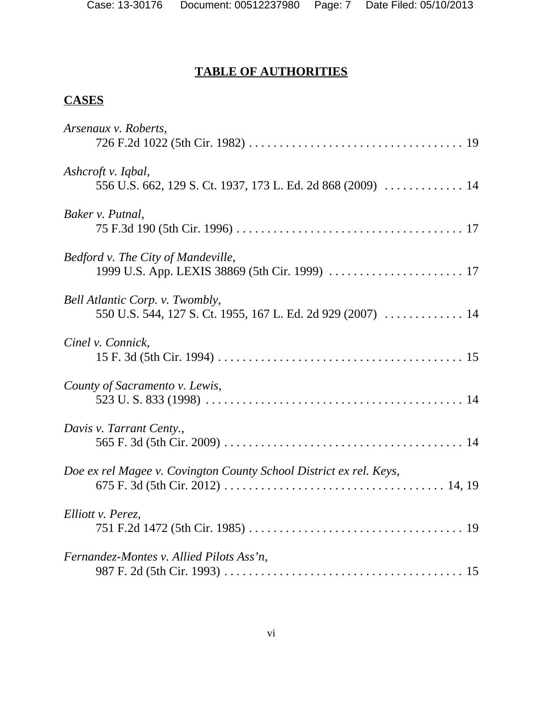# **TABLE OF AUTHORITIES**

# **CASES**

| Arsenaux v. Roberts,                                               |
|--------------------------------------------------------------------|
|                                                                    |
| Ashcroft v. Iqbal,                                                 |
| 556 U.S. 662, 129 S. Ct. 1937, 173 L. Ed. 2d 868 (2009) 14         |
| Baker v. Putnal,                                                   |
|                                                                    |
| Bedford v. The City of Mandeville,                                 |
|                                                                    |
| Bell Atlantic Corp. v. Twombly,                                    |
| 550 U.S. 544, 127 S. Ct. 1955, 167 L. Ed. 2d 929 (2007)  14        |
| Cinel v. Connick,                                                  |
|                                                                    |
| County of Sacramento v. Lewis,                                     |
|                                                                    |
| Davis v. Tarrant Centy.,                                           |
|                                                                    |
| Doe ex rel Magee v. Covington County School District ex rel. Keys, |
|                                                                    |
| Elliott v. Perez,                                                  |
|                                                                    |
| Fernandez-Montes v. Allied Pilots Ass'n,                           |
|                                                                    |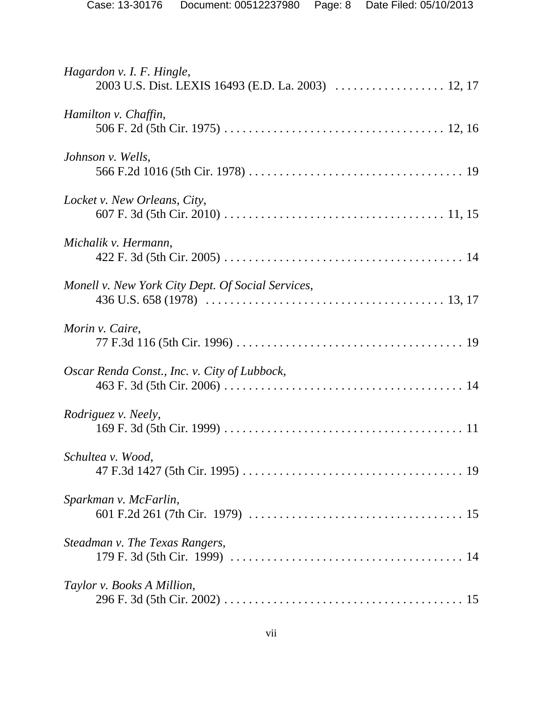| Hagardon v. I. F. Hingle,<br>2003 U.S. Dist. LEXIS 16493 (E.D. La. 2003)  12, 17 |
|----------------------------------------------------------------------------------|
| Hamilton v. Chaffin,                                                             |
| Johnson v. Wells,                                                                |
| Locket v. New Orleans, City,                                                     |
| Michalik v. Hermann,                                                             |
| Monell v. New York City Dept. Of Social Services,                                |
| Morin v. Caire,                                                                  |
| Oscar Renda Const., Inc. v. City of Lubbock,                                     |
| Rodriguez v. Neely,                                                              |
| Schultea v. Wood,                                                                |
| Sparkman v. McFarlin,                                                            |
| Steadman v. The Texas Rangers,                                                   |
| Taylor v. Books A Million,                                                       |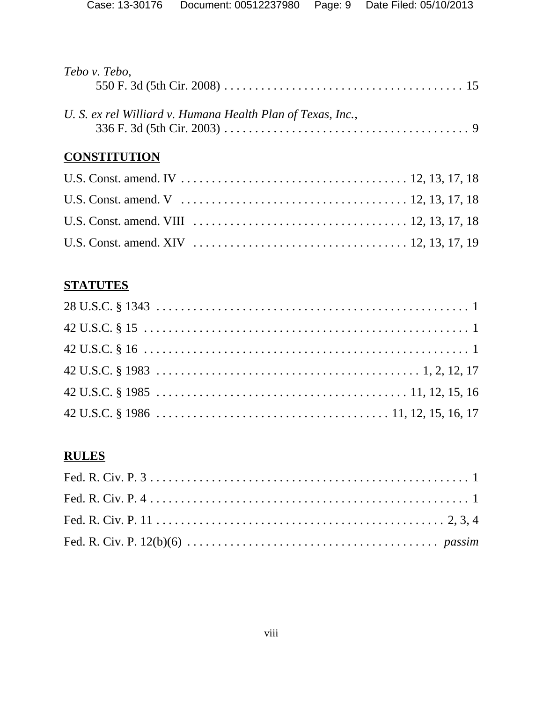| Tebo v. Tebo,                                               |  |
|-------------------------------------------------------------|--|
|                                                             |  |
| U. S. ex rel Williard v. Humana Health Plan of Texas, Inc., |  |
|                                                             |  |
| <b>CONSTITUTION</b>                                         |  |
|                                                             |  |
|                                                             |  |
|                                                             |  |

# **STATUTES**

# **RULES**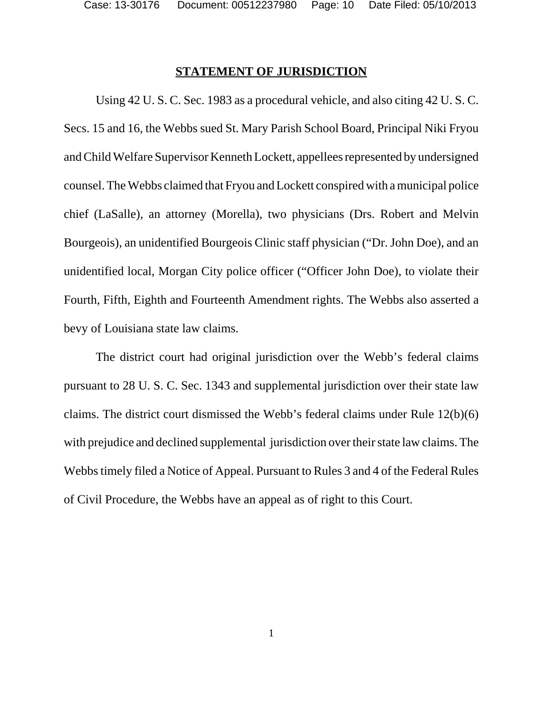#### **STATEMENT OF JURISDICTION**

Using 42 U. S. C. Sec. 1983 as a procedural vehicle, and also citing 42 U. S. C. Secs. 15 and 16, the Webbs sued St. Mary Parish School Board, Principal Niki Fryou and Child Welfare Supervisor Kenneth Lockett, appellees represented by undersigned counsel. The Webbs claimed that Fryou and Lockett conspired with a municipal police chief (LaSalle), an attorney (Morella), two physicians (Drs. Robert and Melvin Bourgeois), an unidentified Bourgeois Clinic staff physician ("Dr. John Doe), and an unidentified local, Morgan City police officer ("Officer John Doe), to violate their Fourth, Fifth, Eighth and Fourteenth Amendment rights. The Webbs also asserted a bevy of Louisiana state law claims.

The district court had original jurisdiction over the Webb's federal claims pursuant to 28 U. S. C. Sec. 1343 and supplemental jurisdiction over their state law claims. The district court dismissed the Webb's federal claims under Rule 12(b)(6) with prejudice and declined supplemental jurisdiction over their state law claims. The Webbs timely filed a Notice of Appeal. Pursuant to Rules 3 and 4 of the Federal Rules of Civil Procedure, the Webbs have an appeal as of right to this Court.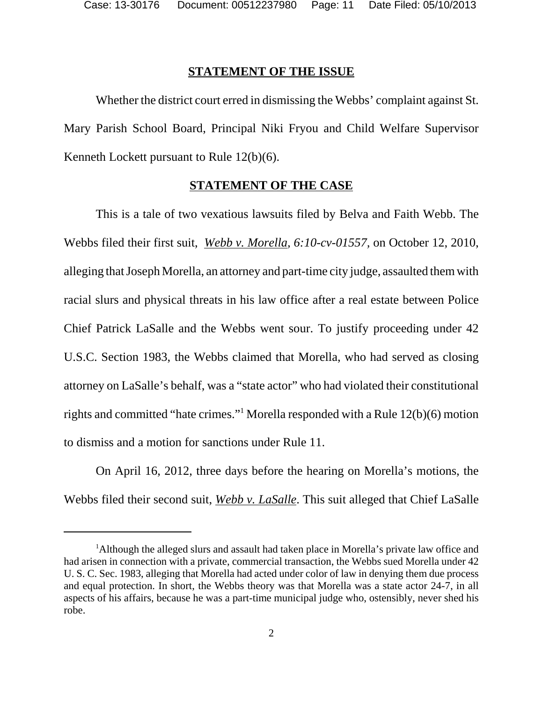#### **STATEMENT OF THE ISSUE**

Whether the district court erred in dismissing the Webbs' complaint against St. Mary Parish School Board, Principal Niki Fryou and Child Welfare Supervisor Kenneth Lockett pursuant to Rule 12(b)(6).

#### **STATEMENT OF THE CASE**

This is a tale of two vexatious lawsuits filed by Belva and Faith Webb. The Webbs filed their first suit, *Webb v. Morella, 6:10-cv-01557,* on October 12, 2010, alleging that Joseph Morella, an attorney and part-time city judge, assaulted them with racial slurs and physical threats in his law office after a real estate between Police Chief Patrick LaSalle and the Webbs went sour. To justify proceeding under 42 U.S.C. Section 1983, the Webbs claimed that Morella, who had served as closing attorney on LaSalle's behalf, was a "state actor" who had violated their constitutional rights and committed "hate crimes."1 Morella responded with a Rule 12(b)(6) motion to dismiss and a motion for sanctions under Rule 11.

On April 16, 2012, three days before the hearing on Morella's motions, the Webbs filed their second suit, *Webb v. LaSalle*. This suit alleged that Chief LaSalle

<sup>&</sup>lt;sup>1</sup>Although the alleged slurs and assault had taken place in Morella's private law office and had arisen in connection with a private, commercial transaction, the Webbs sued Morella under 42 U. S. C. Sec. 1983, alleging that Morella had acted under color of law in denying them due process and equal protection. In short, the Webbs theory was that Morella was a state actor 24-7, in all aspects of his affairs, because he was a part-time municipal judge who, ostensibly, never shed his robe.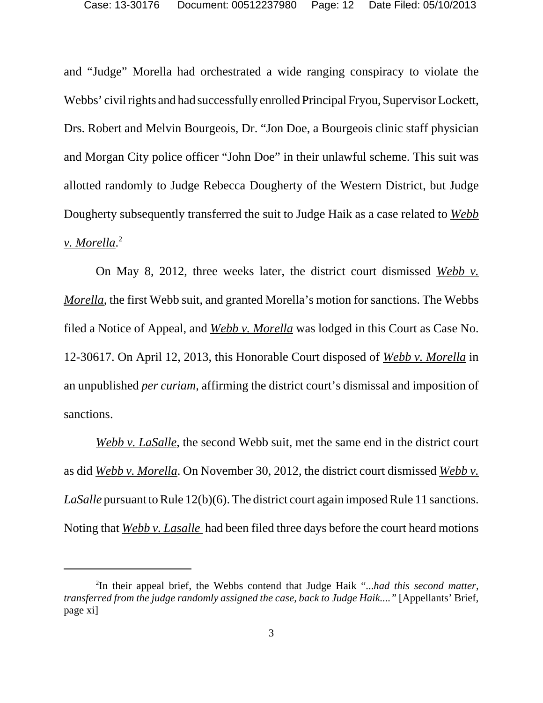and "Judge" Morella had orchestrated a wide ranging conspiracy to violate the Webbs' civil rights and had successfully enrolled Principal Fryou, Supervisor Lockett, Drs. Robert and Melvin Bourgeois, Dr. "Jon Doe, a Bourgeois clinic staff physician and Morgan City police officer "John Doe" in their unlawful scheme. This suit was allotted randomly to Judge Rebecca Dougherty of the Western District, but Judge Dougherty subsequently transferred the suit to Judge Haik as a case related to *Webb v. Morella*. 2

On May 8, 2012, three weeks later, the district court dismissed *Webb v. Morella*, the first Webb suit, and granted Morella's motion for sanctions. The Webbs filed a Notice of Appeal, and *Webb v. Morella* was lodged in this Court as Case No. 12-30617. On April 12, 2013, this Honorable Court disposed of *Webb v. Morella* in an unpublished *per curiam,* affirming the district court's dismissal and imposition of sanctions.

*Webb v. LaSalle*, the second Webb suit, met the same end in the district court as did *Webb v. Morella*. On November 30, 2012, the district court dismissed *Webb v. LaSalle* pursuant to Rule 12(b)(6). The district court again imposed Rule 11 sanctions. Noting that *Webb v. Lasalle* had been filed three days before the court heard motions

<sup>2</sup> In their appeal brief, the Webbs contend that Judge Haik "...*had this second matter, transferred from the judge randomly assigned the case, back to Judge Haik...."* [Appellants' Brief, page xi]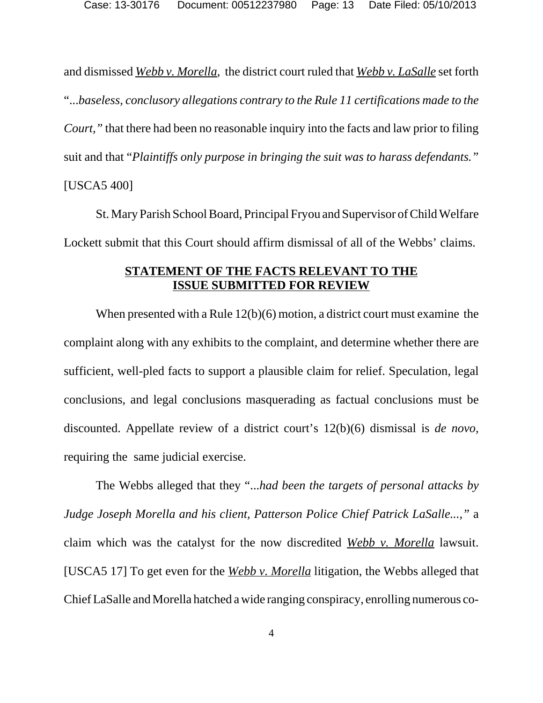and dismissed *Webb v. Morella*, the district court ruled that *Webb v. LaSalle* set forth "...*baseless, conclusory allegations contrary to the Rule 11 certifications made to the Court,"* that there had been no reasonable inquiry into the facts and law prior to filing suit and that "*Plaintiffs only purpose in bringing the suit was to harass defendants."* [USCA5 400]

St. Mary Parish School Board, Principal Fryou and Supervisor of Child Welfare Lockett submit that this Court should affirm dismissal of all of the Webbs' claims.

# **STATEMENT OF THE FACTS RELEVANT TO THE ISSUE SUBMITTED FOR REVIEW**

When presented with a Rule 12(b)(6) motion, a district court must examine the complaint along with any exhibits to the complaint, and determine whether there are sufficient, well-pled facts to support a plausible claim for relief. Speculation, legal conclusions, and legal conclusions masquerading as factual conclusions must be discounted. Appellate review of a district court's 12(b)(6) dismissal is *de novo,* requiring the same judicial exercise.

The Webbs alleged that they "...*had been the targets of personal attacks by Judge Joseph Morella and his client, Patterson Police Chief Patrick LaSalle...,"* a claim which was the catalyst for the now discredited *Webb v. Morella* lawsuit. [USCA5 17] To get even for the *Webb v. Morella* litigation, the Webbs alleged that Chief LaSalle and Morella hatched a wide ranging conspiracy, enrolling numerous co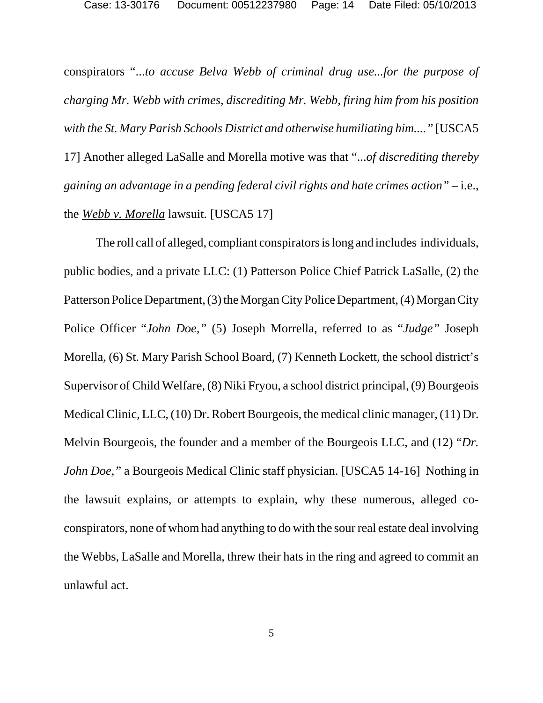conspirators "...*to accuse Belva Webb of criminal drug use...for the purpose of charging Mr. Webb with crimes, discrediting Mr. Webb, firing him from his position with the St. Mary Parish Schools District and otherwise humiliating him...."* [USCA5 17] Another alleged LaSalle and Morella motive was that "...*of discrediting thereby gaining an advantage in a pending federal civil rights and hate crimes action"* – i.e., the *Webb v. Morella* lawsuit. [USCA5 17]

The roll call of alleged, compliant conspirators is long and includes individuals, public bodies, and a private LLC: (1) Patterson Police Chief Patrick LaSalle, (2) the Patterson Police Department, (3) the Morgan City Police Department, (4) Morgan City Police Officer "*John Doe,"* (5) Joseph Morrella, referred to as "*Judge"* Joseph Morella, (6) St. Mary Parish School Board, (7) Kenneth Lockett, the school district's Supervisor of Child Welfare, (8) Niki Fryou, a school district principal, (9) Bourgeois Medical Clinic, LLC, (10) Dr. Robert Bourgeois, the medical clinic manager, (11) Dr. Melvin Bourgeois, the founder and a member of the Bourgeois LLC, and (12) "*Dr. John Doe,"* a Bourgeois Medical Clinic staff physician. [USCA5 14-16] Nothing in the lawsuit explains, or attempts to explain, why these numerous, alleged coconspirators, none of whom had anything to do with the sour real estate deal involving the Webbs, LaSalle and Morella, threw their hats in the ring and agreed to commit an unlawful act.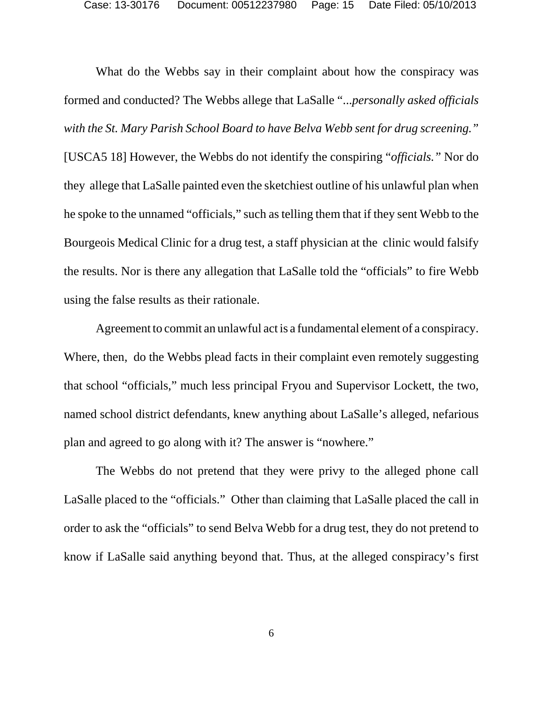Case: 13-30176 Document: 00512237980 Page: 15 Date Filed: 05/10/2013

What do the Webbs say in their complaint about how the conspiracy was formed and conducted? The Webbs allege that LaSalle "...*personally asked officials with the St. Mary Parish School Board to have Belva Webb sent for drug screening."* [USCA5 18] However, the Webbs do not identify the conspiring "*officials."* Nor do they allege that LaSalle painted even the sketchiest outline of his unlawful plan when he spoke to the unnamed "officials," such as telling them that if they sent Webb to the Bourgeois Medical Clinic for a drug test, a staff physician at the clinic would falsify the results. Nor is there any allegation that LaSalle told the "officials" to fire Webb using the false results as their rationale.

Agreement to commit an unlawful act is a fundamental element of a conspiracy. Where, then, do the Webbs plead facts in their complaint even remotely suggesting that school "officials," much less principal Fryou and Supervisor Lockett, the two, named school district defendants, knew anything about LaSalle's alleged, nefarious plan and agreed to go along with it? The answer is "nowhere."

The Webbs do not pretend that they were privy to the alleged phone call LaSalle placed to the "officials." Other than claiming that LaSalle placed the call in order to ask the "officials" to send Belva Webb for a drug test, they do not pretend to know if LaSalle said anything beyond that. Thus, at the alleged conspiracy's first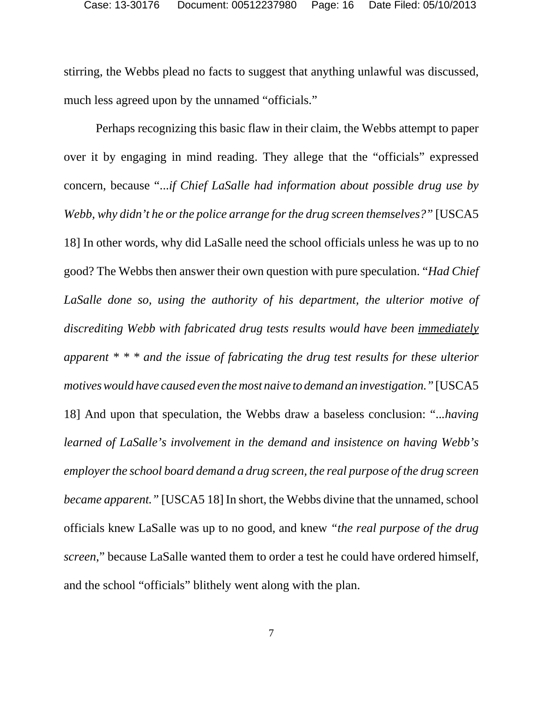stirring, the Webbs plead no facts to suggest that anything unlawful was discussed, much less agreed upon by the unnamed "officials."

Perhaps recognizing this basic flaw in their claim, the Webbs attempt to paper over it by engaging in mind reading. They allege that the "officials" expressed concern, because "...*if Chief LaSalle had information about possible drug use by Webb, why didn't he or the police arrange for the drug screen themselves?"* [USCA5 18] In other words, why did LaSalle need the school officials unless he was up to no good? The Webbs then answer their own question with pure speculation. "*Had Chief LaSalle done so, using the authority of his department, the ulterior motive of discrediting Webb with fabricated drug tests results would have been immediately apparent \* \* \* and the issue of fabricating the drug test results for these ulterior motives would have caused even the most naive to demand an investigation."* [USCA5 18] And upon that speculation, the Webbs draw a baseless conclusion: "..*.having learned of LaSalle's involvement in the demand and insistence on having Webb's employer the school board demand a drug screen, the real purpose of the drug screen became apparent."* [USCA5 18] In short, the Webbs divine that the unnamed, school officials knew LaSalle was up to no good, and knew *"the real purpose of the drug screen*," because LaSalle wanted them to order a test he could have ordered himself, and the school "officials" blithely went along with the plan.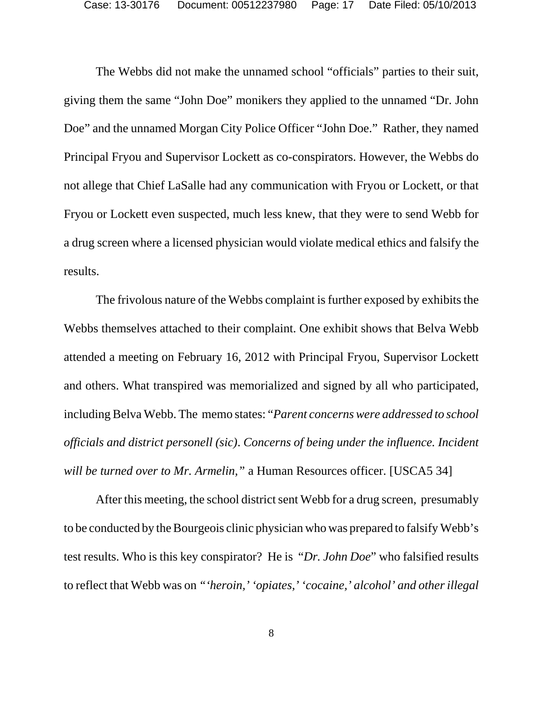The Webbs did not make the unnamed school "officials" parties to their suit, giving them the same "John Doe" monikers they applied to the unnamed "Dr. John Doe" and the unnamed Morgan City Police Officer "John Doe." Rather, they named Principal Fryou and Supervisor Lockett as co-conspirators. However, the Webbs do not allege that Chief LaSalle had any communication with Fryou or Lockett, or that Fryou or Lockett even suspected, much less knew, that they were to send Webb for a drug screen where a licensed physician would violate medical ethics and falsify the results.

The frivolous nature of the Webbs complaint is further exposed by exhibits the Webbs themselves attached to their complaint. One exhibit shows that Belva Webb attended a meeting on February 16, 2012 with Principal Fryou, Supervisor Lockett and others. What transpired was memorialized and signed by all who participated, including Belva Webb. The memo states: "*Parent concerns were addressed to school officials and district personell (sic)*. *Concerns of being under the influence. Incident will be turned over to Mr. Armelin,"* a Human Resources officer. [USCA5 34]

After this meeting, the school district sent Webb for a drug screen, presumably to be conducted by the Bourgeois clinic physician who was prepared to falsify Webb's test results. Who is this key conspirator? He is "*Dr. John Doe*" who falsified results to reflect that Webb was on *"'heroin,' 'opiates,' 'cocaine,' alcohol' and other illegal*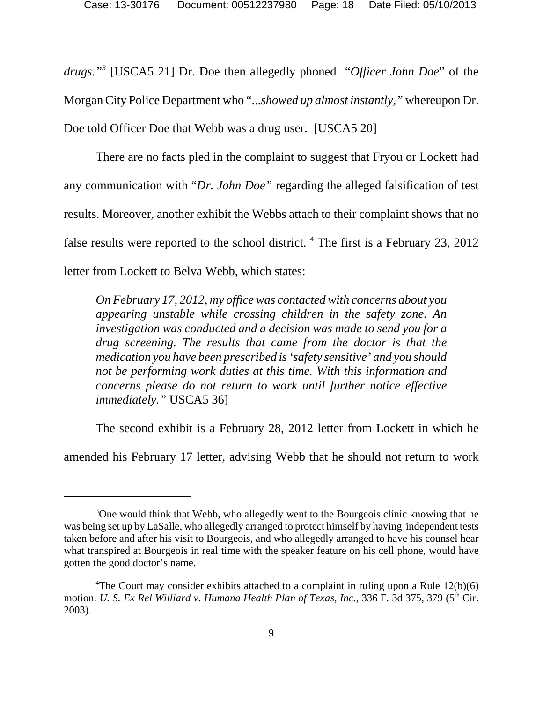*drugs."3* [USCA5 21] Dr. Doe then allegedly phoned "*Officer John Doe*" of the Morgan City Police Department who "...*showed up almost instantly,"* whereupon Dr. Doe told Officer Doe that Webb was a drug user. [USCA5 20]

There are no facts pled in the complaint to suggest that Fryou or Lockett had any communication with "*Dr. John Doe"* regarding the alleged falsification of test results. Moreover, another exhibit the Webbs attach to their complaint shows that no false results were reported to the school district. <sup>4</sup> The first is a February 23, 2012 letter from Lockett to Belva Webb, which states:

*On February 17, 2012, my office was contacted with concerns about you appearing unstable while crossing children in the safety zone. An investigation was conducted and a decision was made to send you for a drug screening. The results that came from the doctor is that the medication you have been prescribed is 'safety sensitive' and you should not be performing work duties at this time. With this information and concerns please do not return to work until further notice effective immediately."* USCA5 36]

The second exhibit is a February 28, 2012 letter from Lockett in which he

amended his February 17 letter, advising Webb that he should not return to work

<sup>&</sup>lt;sup>3</sup>One would think that Webb, who allegedly went to the Bourgeois clinic knowing that he was being set up by LaSalle, who allegedly arranged to protect himself by having independent tests taken before and after his visit to Bourgeois, and who allegedly arranged to have his counsel hear what transpired at Bourgeois in real time with the speaker feature on his cell phone, would have gotten the good doctor's name.

<sup>&</sup>lt;sup>4</sup>The Court may consider exhibits attached to a complaint in ruling upon a Rule  $12(b)(6)$ motion. *U. S. Ex Rel Williard v. Humana Health Plan of Texas, Inc.*, 336 F. 3d 375, 379 (5<sup>th</sup> Cir. 2003).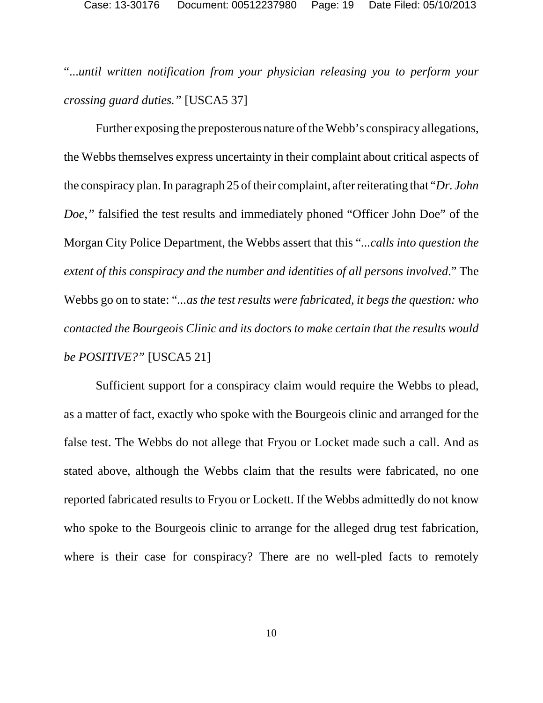"...*until written notification from your physician releasing you to perform your crossing guard duties."* [USCA5 37]

Further exposing the preposterous nature of the Webb's conspiracy allegations, the Webbs themselves express uncertainty in their complaint about critical aspects of the conspiracy plan. In paragraph 25 of their complaint, after reiterating that "*Dr. John Doe,*" falsified the test results and immediately phoned "Officer John Doe" of the Morgan City Police Department, the Webbs assert that this "*...calls into question the extent of this conspiracy and the number and identities of all persons involved*." The Webbs go on to state: "*...as the test results were fabricated, it begs the question: who contacted the Bourgeois Clinic and its doctors to make certain that the results would be POSITIVE?"* [USCA5 21]

Sufficient support for a conspiracy claim would require the Webbs to plead, as a matter of fact, exactly who spoke with the Bourgeois clinic and arranged for the false test. The Webbs do not allege that Fryou or Locket made such a call. And as stated above, although the Webbs claim that the results were fabricated, no one reported fabricated results to Fryou or Lockett. If the Webbs admittedly do not know who spoke to the Bourgeois clinic to arrange for the alleged drug test fabrication, where is their case for conspiracy? There are no well-pled facts to remotely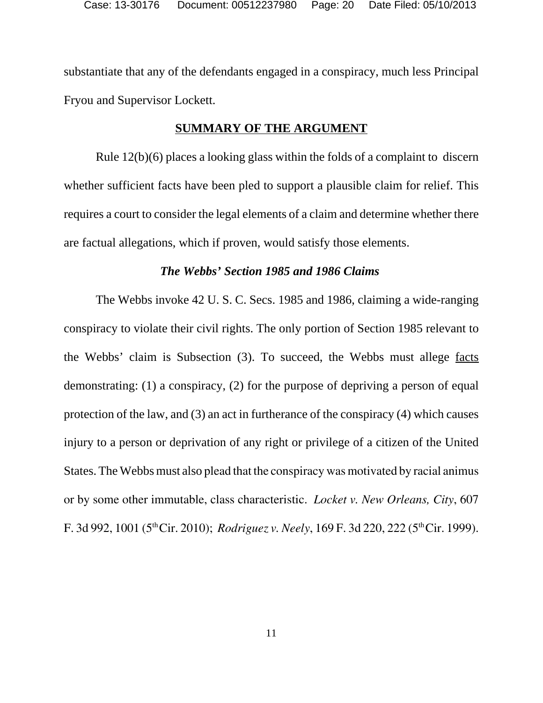substantiate that any of the defendants engaged in a conspiracy, much less Principal Fryou and Supervisor Lockett.

### **SUMMARY OF THE ARGUMENT**

Rule 12(b)(6) places a looking glass within the folds of a complaint to discern whether sufficient facts have been pled to support a plausible claim for relief. This requires a court to consider the legal elements of a claim and determine whether there are factual allegations, which if proven, would satisfy those elements.

#### *The Webbs' Section 1985 and 1986 Claims*

The Webbs invoke 42 U. S. C. Secs. 1985 and 1986, claiming a wide-ranging conspiracy to violate their civil rights. The only portion of Section 1985 relevant to the Webbs' claim is Subsection (3). To succeed, the Webbs must allege facts demonstrating: (1) a conspiracy, (2) for the purpose of depriving a person of equal protection of the law, and (3) an act in furtherance of the conspiracy (4) which causes injury to a person or deprivation of any right or privilege of a citizen of the United States. The Webbs must also plead that the conspiracy was motivated by racial animus or by some other immutable, class characteristic. *Locket v. New Orleans, City*, 607 F. 3d 992, 1001 (5<sup>th</sup> Cir. 2010); *Rodriguez v. Neely*, 169 F. 3d 220, 222 (5<sup>th</sup> Cir. 1999).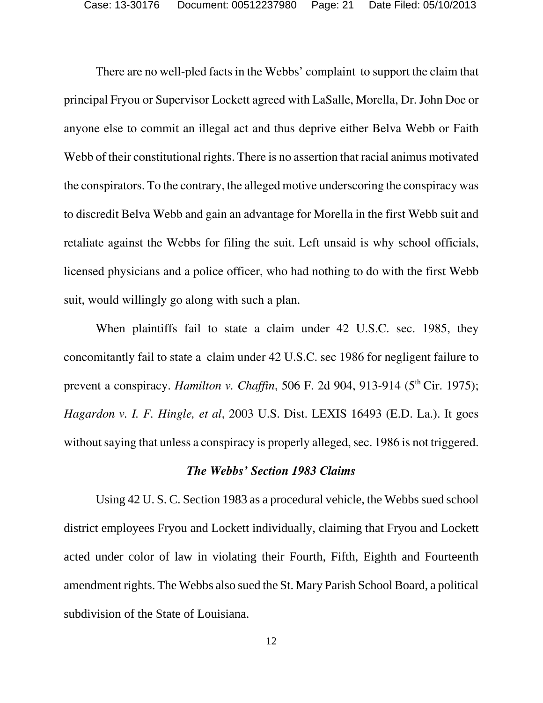There are no well-pled facts in the Webbs' complaint to support the claim that principal Fryou or Supervisor Lockett agreed with LaSalle, Morella, Dr. John Doe or anyone else to commit an illegal act and thus deprive either Belva Webb or Faith Webb of their constitutional rights. There is no assertion that racial animus motivated the conspirators. To the contrary, the alleged motive underscoring the conspiracy was to discredit Belva Webb and gain an advantage for Morella in the first Webb suit and retaliate against the Webbs for filing the suit. Left unsaid is why school officials, licensed physicians and a police officer, who had nothing to do with the first Webb suit, would willingly go along with such a plan.

When plaintiffs fail to state a claim under 42 U.S.C. sec. 1985, they concomitantly fail to state a claim under 42 U.S.C. sec 1986 for negligent failure to prevent a conspiracy. *Hamilton v. Chaffin*, 506 F. 2d 904, 913-914 (5<sup>th</sup> Cir. 1975); *Hagardon v. I. F. Hingle, et al*, 2003 U.S. Dist. LEXIS 16493 (E.D. La.). It goes without saying that unless a conspiracy is properly alleged, sec. 1986 is not triggered.

# *The Webbs' Section 1983 Claims*

Using 42 U. S. C. Section 1983 as a procedural vehicle, the Webbs sued school district employees Fryou and Lockett individually, claiming that Fryou and Lockett acted under color of law in violating their Fourth, Fifth, Eighth and Fourteenth amendment rights. The Webbs also sued the St. Mary Parish School Board, a political subdivision of the State of Louisiana.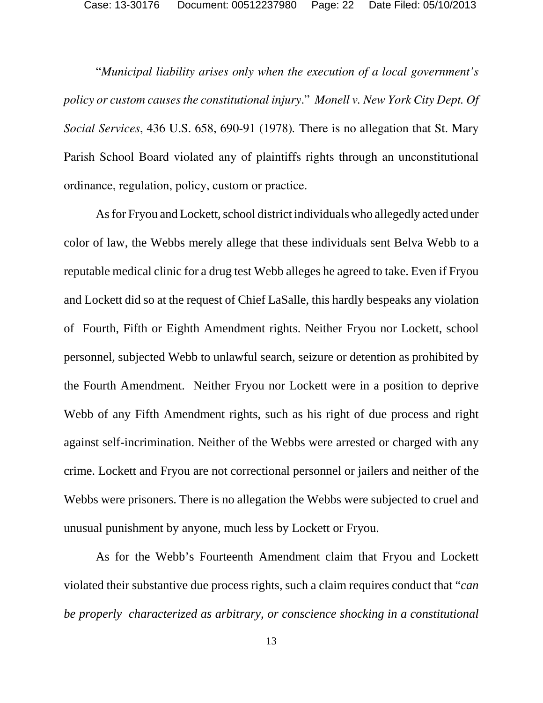"*Municipal liability arises only when the execution of a local government's policy or custom causes the constitutional injury*." *Monell v. New York City Dept. Of Social Services*, 436 U.S. 658, 690-91 (1978)*.* There is no allegation that St. Mary Parish School Board violated any of plaintiffs rights through an unconstitutional ordinance, regulation, policy, custom or practice.

As for Fryou and Lockett, school district individuals who allegedly acted under color of law, the Webbs merely allege that these individuals sent Belva Webb to a reputable medical clinic for a drug test Webb alleges he agreed to take. Even if Fryou and Lockett did so at the request of Chief LaSalle, this hardly bespeaks any violation of Fourth, Fifth or Eighth Amendment rights. Neither Fryou nor Lockett, school personnel, subjected Webb to unlawful search, seizure or detention as prohibited by the Fourth Amendment. Neither Fryou nor Lockett were in a position to deprive Webb of any Fifth Amendment rights, such as his right of due process and right against self-incrimination. Neither of the Webbs were arrested or charged with any crime. Lockett and Fryou are not correctional personnel or jailers and neither of the Webbs were prisoners. There is no allegation the Webbs were subjected to cruel and unusual punishment by anyone, much less by Lockett or Fryou.

As for the Webb's Fourteenth Amendment claim that Fryou and Lockett violated their substantive due process rights, such a claim requires conduct that "*can be properly characterized as arbitrary, or conscience shocking in a constitutional*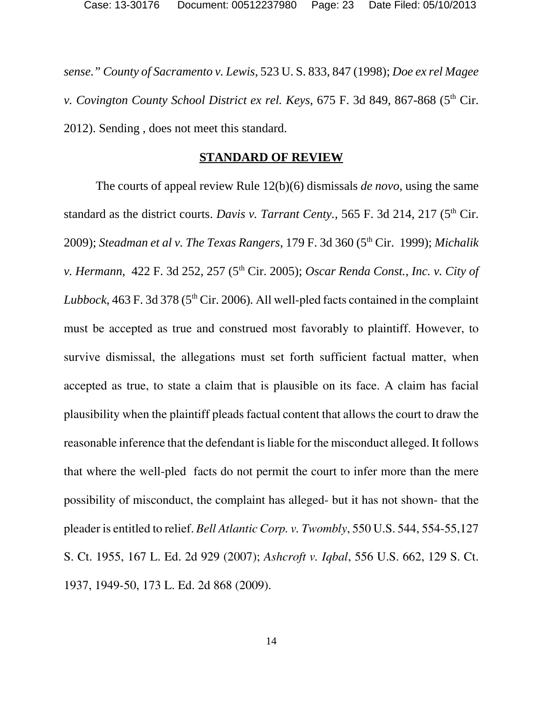*sense." County of Sacramento v. Lewis*, 523 U. S. 833, 847 (1998); *Doe ex rel Magee v. Covington County School District ex rel. Keys, 675 F. 3d 849, 867-868 (5<sup>th</sup> Cir.)* 2012). Sending , does not meet this standard.

#### **STANDARD OF REVIEW**

The courts of appeal review Rule 12(b)(6) dismissals *de novo,* using the same standard as the district courts. *Davis v. Tarrant Centy.*, 565 F. 3d 214, 217 (5<sup>th</sup> Cir. 2009); *Steadman et al v. The Texas Rangers*, 179 F. 3d 360 (5th Cir. 1999); *Michalik v. Hermann, 422 F. 3d 252, 257 (5<sup>th</sup> Cir. 2005); <i>Oscar Renda Const., Inc. v. City of Lubbock*, 463 F. 3d 378 (5<sup>th</sup> Cir. 2006). All well-pled facts contained in the complaint must be accepted as true and construed most favorably to plaintiff. However, to survive dismissal, the allegations must set forth sufficient factual matter, when accepted as true, to state a claim that is plausible on its face. A claim has facial plausibility when the plaintiff pleads factual content that allows the court to draw the reasonable inference that the defendant is liable for the misconduct alleged. It follows that where the well-pled facts do not permit the court to infer more than the mere possibility of misconduct, the complaint has alleged- but it has not shown- that the pleader is entitled to relief. *Bell Atlantic Corp. v. Twombly*, 550 U.S. 544, 554-55,127 S. Ct. 1955, 167 L. Ed. 2d 929 (2007); *Ashcroft v. Iqbal*, 556 U.S. 662, 129 S. Ct. 1937, 1949-50, 173 L. Ed. 2d 868 (2009).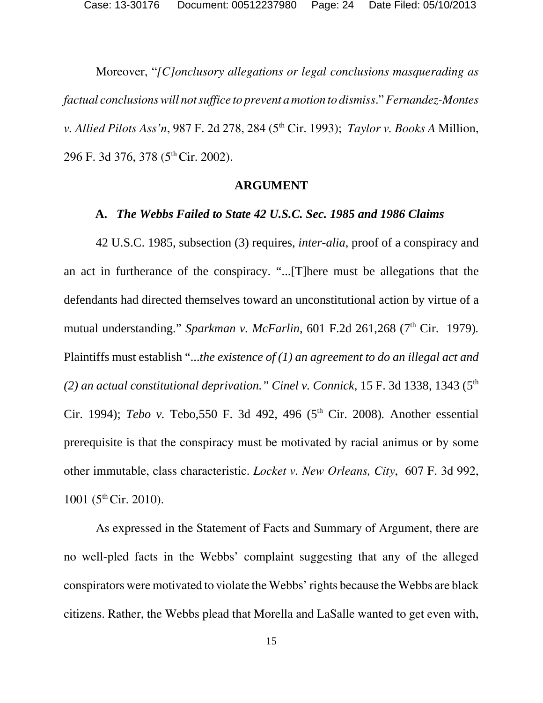Moreover, "*[C]onclusory allegations or legal conclusions masquerading as factual conclusions will not suffice to prevent a motion to dismiss*." *Fernandez-Montes v. Allied Pilots Ass'n,* 987 F. 2d 278, 284 (5<sup>th</sup> Cir. 1993); *Taylor v. Books A Million,* 296 F. 3d 376, 378 (5th Cir. 2002).

#### **ARGUMENT**

#### **A.** *The Webbs Failed to State 42 U.S.C. Sec. 1985 and 1986 Claims*

42 U.S.C. 1985, subsection (3) requires, *inter-alia*, proof of a conspiracy and an act in furtherance of the conspiracy. "...[T]here must be allegations that the defendants had directed themselves toward an unconstitutional action by virtue of a mutual understanding." *Sparkman v. McFarlin*, 601 F.2d 261,268 (7<sup>th</sup> Cir. 1979). Plaintiffs must establish "...*the existence of (1) an agreement to do an illegal act and (2) an actual constitutional deprivation." Cinel v. Connick*, 15 F. 3d 1338, 1343 (5th Cir. 1994); *Tebo v.* Tebo, 550 F. 3d 492, 496 (5<sup>th</sup> Cir. 2008). Another essential prerequisite is that the conspiracy must be motivated by racial animus or by some other immutable, class characteristic. *Locket v. New Orleans, City*, 607 F. 3d 992, 1001 ( $5<sup>th</sup>$  Cir. 2010).

As expressed in the Statement of Facts and Summary of Argument, there are no well-pled facts in the Webbs' complaint suggesting that any of the alleged conspirators were motivated to violate the Webbs' rights because the Webbs are black citizens. Rather, the Webbs plead that Morella and LaSalle wanted to get even with,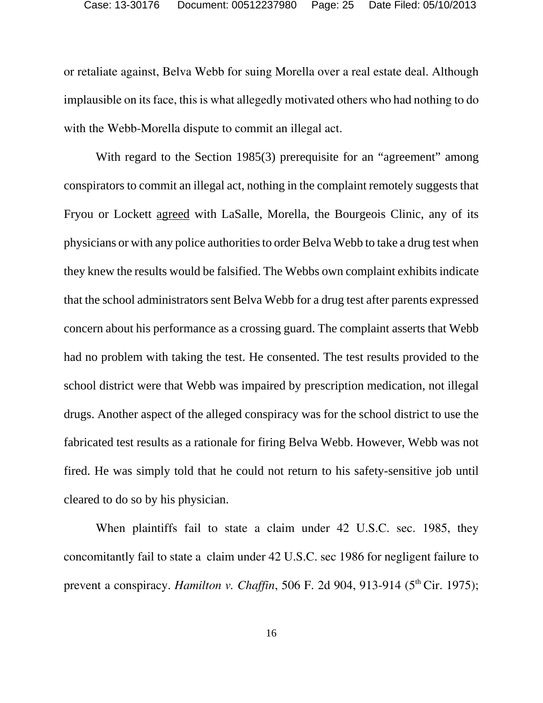or retaliate against, Belva Webb for suing Morella over a real estate deal. Although implausible on its face, this is what allegedly motivated others who had nothing to do with the Webb-Morella dispute to commit an illegal act.

With regard to the Section 1985(3) prerequisite for an "agreement" among conspirators to commit an illegal act, nothing in the complaint remotely suggests that Fryou or Lockett agreed with LaSalle, Morella, the Bourgeois Clinic, any of its physicians or with any police authorities to order Belva Webb to take a drug test when they knew the results would be falsified. The Webbs own complaint exhibits indicate that the school administrators sent Belva Webb for a drug test after parents expressed concern about his performance as a crossing guard. The complaint asserts that Webb had no problem with taking the test. He consented. The test results provided to the school district were that Webb was impaired by prescription medication, not illegal drugs. Another aspect of the alleged conspiracy was for the school district to use the fabricated test results as a rationale for firing Belva Webb. However, Webb was not fired. He was simply told that he could not return to his safety-sensitive job until cleared to do so by his physician.

When plaintiffs fail to state a claim under 42 U.S.C. sec. 1985, they concomitantly fail to state a claim under 42 U.S.C. sec 1986 for negligent failure to prevent a conspiracy. *Hamilton v. Chaffin*, 506 F. 2d 904, 913-914 (5<sup>th</sup> Cir. 1975);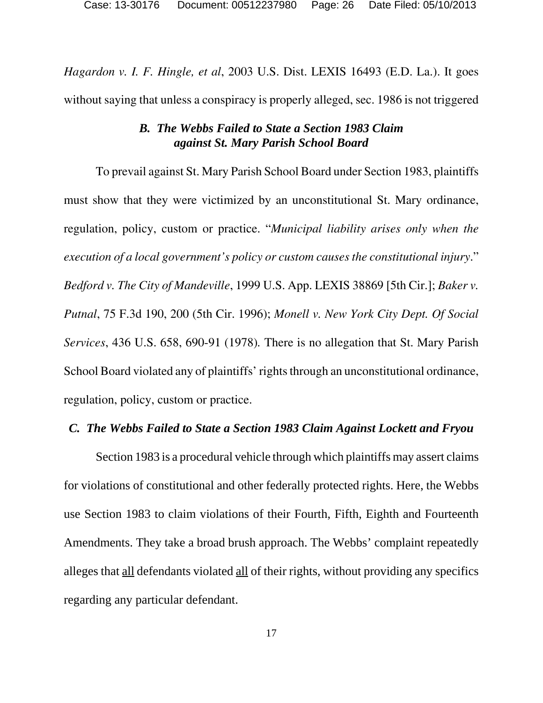*Hagardon v. I. F. Hingle, et al*, 2003 U.S. Dist. LEXIS 16493 (E.D. La.). It goes without saying that unless a conspiracy is properly alleged, sec. 1986 is not triggered

# *B. The Webbs Failed to State a Section 1983 Claim against St. Mary Parish School Board*

To prevail against St. Mary Parish School Board under Section 1983, plaintiffs must show that they were victimized by an unconstitutional St. Mary ordinance, regulation, policy, custom or practice. "*Municipal liability arises only when the execution of a local government's policy or custom causes the constitutional injury*." *Bedford v. The City of Mandeville*, 1999 U.S. App. LEXIS 38869 [5th Cir.]; *Baker v. Putnal*, 75 F.3d 190, 200 (5th Cir. 1996); *Monell v. New York City Dept. Of Social Services*, 436 U.S. 658, 690-91 (1978)*.* There is no allegation that St. Mary Parish School Board violated any of plaintiffs' rights through an unconstitutional ordinance, regulation, policy, custom or practice.

### *C. The Webbs Failed to State a Section 1983 Claim Against Lockett and Fryou*

Section 1983 is a procedural vehicle through which plaintiffs may assert claims for violations of constitutional and other federally protected rights. Here, the Webbs use Section 1983 to claim violations of their Fourth, Fifth, Eighth and Fourteenth Amendments. They take a broad brush approach. The Webbs' complaint repeatedly alleges that all defendants violated all of their rights, without providing any specifics regarding any particular defendant.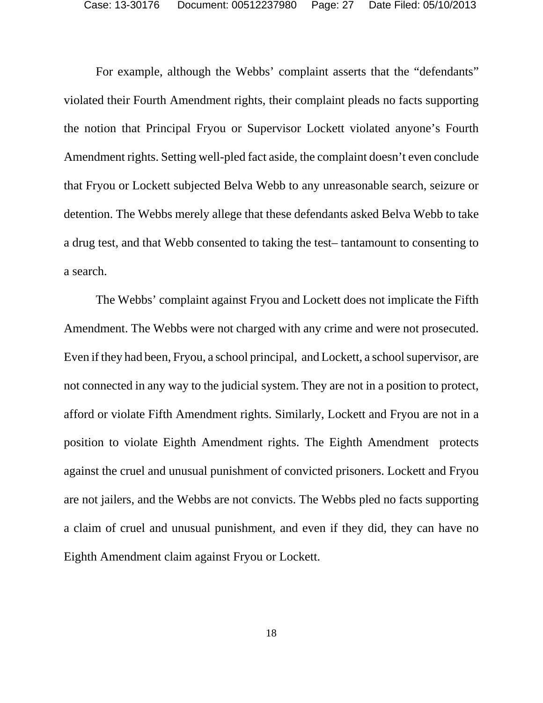For example, although the Webbs' complaint asserts that the "defendants" violated their Fourth Amendment rights, their complaint pleads no facts supporting the notion that Principal Fryou or Supervisor Lockett violated anyone's Fourth Amendment rights. Setting well-pled fact aside, the complaint doesn't even conclude that Fryou or Lockett subjected Belva Webb to any unreasonable search, seizure or detention. The Webbs merely allege that these defendants asked Belva Webb to take a drug test, and that Webb consented to taking the test– tantamount to consenting to a search.

The Webbs' complaint against Fryou and Lockett does not implicate the Fifth Amendment. The Webbs were not charged with any crime and were not prosecuted. Even if they had been, Fryou, a school principal, and Lockett, a school supervisor, are not connected in any way to the judicial system. They are not in a position to protect, afford or violate Fifth Amendment rights. Similarly, Lockett and Fryou are not in a position to violate Eighth Amendment rights. The Eighth Amendment protects against the cruel and unusual punishment of convicted prisoners. Lockett and Fryou are not jailers, and the Webbs are not convicts. The Webbs pled no facts supporting a claim of cruel and unusual punishment, and even if they did, they can have no Eighth Amendment claim against Fryou or Lockett.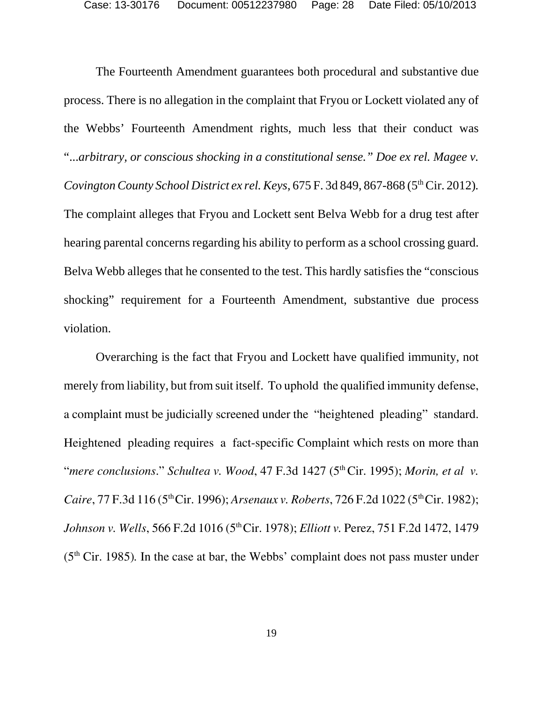The Fourteenth Amendment guarantees both procedural and substantive due process. There is no allegation in the complaint that Fryou or Lockett violated any of the Webbs' Fourteenth Amendment rights, much less that their conduct was "...*arbitrary, or conscious shocking in a constitutional sense." Doe ex rel. Magee v. Covington County School District ex rel. Keys, 675 F.* 3d 849, 867-868 (5<sup>th</sup> Cir. 2012). The complaint alleges that Fryou and Lockett sent Belva Webb for a drug test after hearing parental concerns regarding his ability to perform as a school crossing guard. Belva Webb alleges that he consented to the test. This hardly satisfies the "conscious shocking" requirement for a Fourteenth Amendment, substantive due process violation.

Overarching is the fact that Fryou and Lockett have qualified immunity, not merely from liability, but from suit itself. To uphold the qualified immunity defense, a complaint must be judicially screened under the "heightened pleading" standard. Heightened pleading requires a fact-specific Complaint which rests on more than "*mere conclusions." Schultea v. Wood,* 47 F.3d 1427 (5<sup>th</sup> Cir. 1995); *Morin, et al v. Caire*, 77 F.3d 116 (5<sup>th</sup> Cir. 1996); *Arsenaux v. Roberts*, 726 F.2d 1022 (5<sup>th</sup> Cir. 1982); *Johnson v. Wells*, 566 F.2d 1016 (5<sup>th</sup> Cir. 1978); *Elliott v. Perez*, 751 F.2d 1472, 1479 (5th Cir. 1985)*.* In the case at bar, the Webbs' complaint does not pass muster under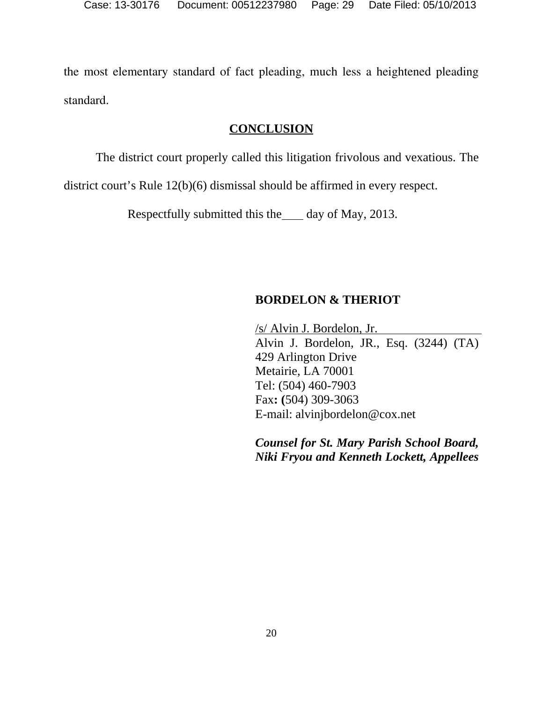the most elementary standard of fact pleading, much less a heightened pleading standard.

# **CONCLUSION**

The district court properly called this litigation frivolous and vexatious. The

district court's Rule 12(b)(6) dismissal should be affirmed in every respect.

Respectfully submitted this the day of May, 2013.

# **BORDELON & THERIOT**

/s/ Alvin J. Bordelon, Jr. Alvin J. Bordelon, JR., Esq. (3244) (TA) 429 Arlington Drive Metairie, LA 70001 Tel: (504) 460-7903 Fax**: (**504) 309-3063 E-mail: alvinjbordelon@cox.net

*Counsel for St. Mary Parish School Board, Niki Fryou and Kenneth Lockett, Appellees*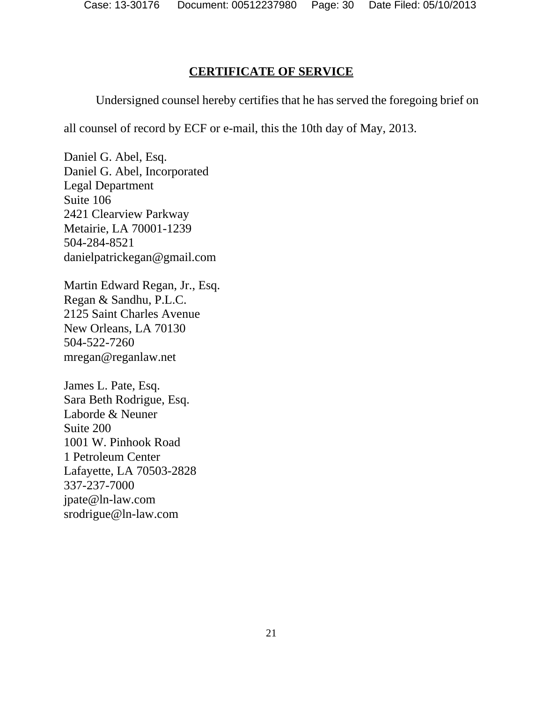# **CERTIFICATE OF SERVICE**

Undersigned counsel hereby certifies that he has served the foregoing brief on

all counsel of record by ECF or e-mail, this the 10th day of May, 2013.

Daniel G. Abel, Esq. Daniel G. Abel, Incorporated Legal Department Suite 106 2421 Clearview Parkway Metairie, LA 70001-1239 504-284-8521 danielpatrickegan@gmail.com

Martin Edward Regan, Jr., Esq. Regan & Sandhu, P.L.C. 2125 Saint Charles Avenue New Orleans, LA 70130 504-522-7260 mregan@reganlaw.net

James L. Pate, Esq. Sara Beth Rodrigue, Esq. Laborde & Neuner Suite 200 1001 W. Pinhook Road 1 Petroleum Center Lafayette, LA 70503-2828 337-237-7000 jpate@ln-law.com srodrigue@ln-law.com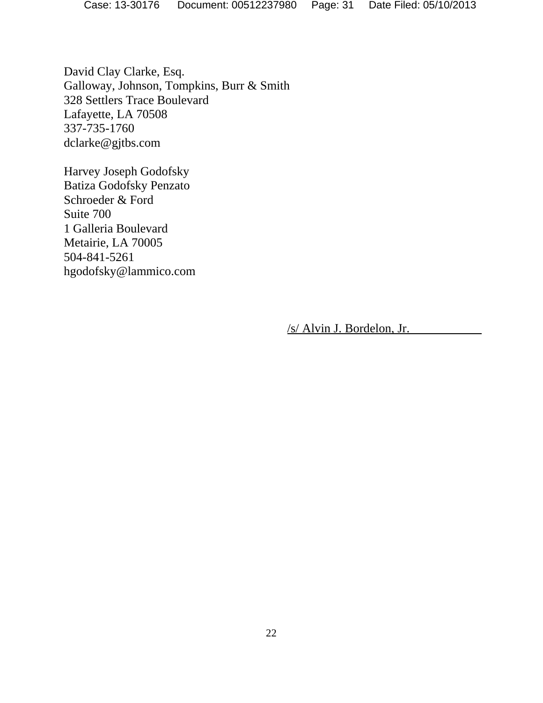David Clay Clarke, Esq. Galloway, Johnson, Tompkins, Burr & Smith 328 Settlers Trace Boulevard Lafayette, LA 70508 337-735-1760 dclarke@gjtbs.com

Harvey Joseph Godofsky Batiza Godofsky Penzato Schroeder & Ford Suite 700 1 Galleria Boulevard Metairie, LA 70005 504-841-5261 hgodofsky@lammico.com

/s/ Alvin J. Bordelon, Jr.